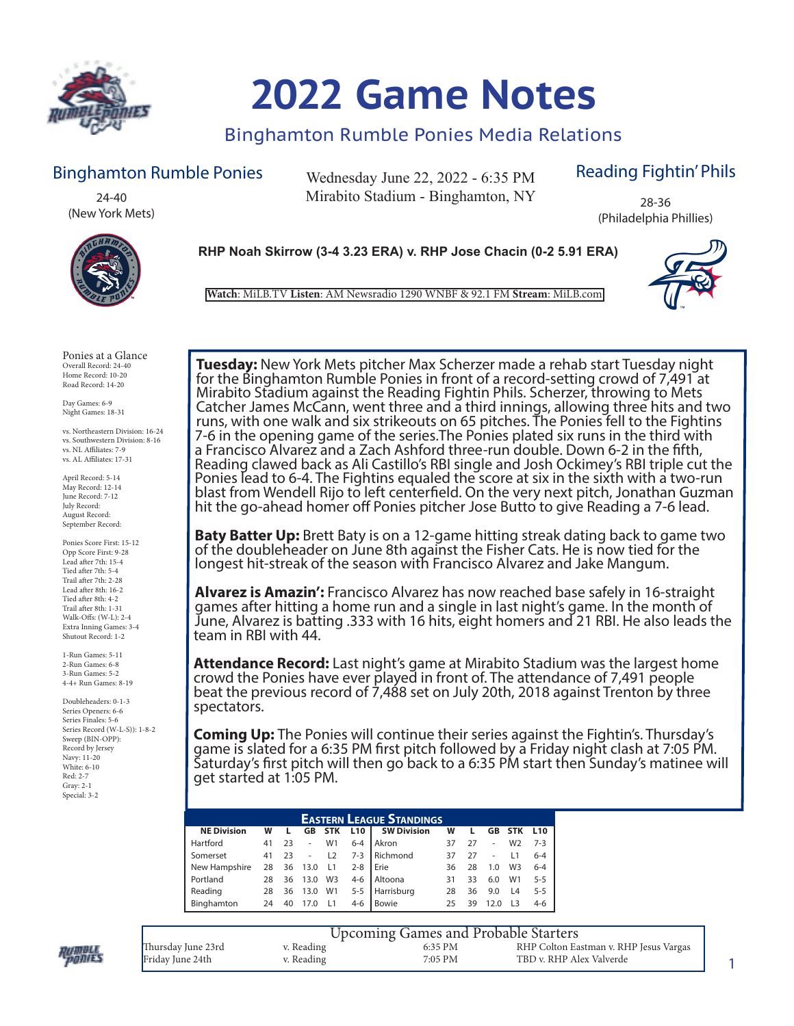

# **2022 Game Notes**

### Binghamton Rumble Ponies Media Relations

### Binghamton Rumble Ponies

24-40 (New York Mets)

Wednesday June 22, 2022 - 6:35 PM Mirabito Stadium - Binghamton, NY

### Reading Fightin' Phils

28-36 (Philadelphia Phillies)





**Watch**: MiLB.TV **Listen**: AM Newsradio 1290 WNBF & 92.1 FM **Stream**: MiLB.com

Ponies at a Glance Overall Record: 24-40 Home Record: 10-20 Road Record: 14-20

Day Games: 6-9 Night Games: 18-31

vs. Northeastern Division: 16-24 vs. Southwestern Division: 8-16 vs. NL Affiliates: 7-9 vs. AL Affiliates: 17-31

April Record: 5-14 May Record: 12-14 June Record: 7-12 July Record: August Record: September Record:

Ponies Score First: 15-12 Opp Score First: 9-28 Lead after 7th: 15-4 Tied after 7th: 5-4 Trail after 7th: 2-28 Lead after 8th: 16-2 Tied after 8th: 4-2 Trail after 8th: 1-31 Walk-Offs: (W-L): 2-4 Extra Inning Games: 3-4 Shutout Record: 1-2

1-Run Games: 5-11 2-Run Games: 6-8 3-Run Games: 5-2 4-4+ Run Games: 8-19

Doubleheaders: 0-1-3 Series Openers: 6-6 Series Finales: 5-6 Series Record (W-L-S)): 1-8-2 Sweep (BIN-OPP): Record by Jersey Navy: 11-20 White: 6-10 Red: 2-7 Gray: 2-1 Special: 3-2

**Tuesday:** New York Mets pitcher Max Scherzer made a rehab start Tuesday night for the Binghamton Rumble Ponies in front of a record-setting crowd of 7,491 at Mirabito Stadium against the Reading Fightin Phils. Scherzer, throwing to Mets Catcher James McCann, went three and a third innings, allowing three hits and two runs, with one walk and six strikeouts on 65 pitches. The Ponies fell to the Fightins 7-6 in the opening game of the series.The Ponies plated six runs in the third with a Francisco Alvarez and a Zach Ashford three-run double. Down 6-2 in the fifth, Reading clawed back as Ali Castillo's RBI single and Josh Ockimey's RBI triple cut the Ponies lead to 6-4. The Fightins equaled the score at six in the sixth with a two-run blast from Wendell Rijo to left centerfield. On the very next pitch, Jonathan Guzman hit the go-ahead homer off Ponies pitcher Jose Butto to give Reading a 7-6 lead.

**Baty Batter Up:** Brett Baty is on a 12-game hitting streak dating back to game two of the doubleheader on June 8th against the Fisher Cats. He is now tied for the longest hit-streak of the season with Francisco Alvarez and Jake Mangum.

**Alvarez is Amazin':** Francisco Alvarez has now reached base safely in 16-straight games after hitting a home run and a single in last night's game. In the month of June, Alvarez is batting .333 with 16 hits, eight homers and 21 RBI. He also leads the team in RBI with 44.

**Attendance Record:** Last night's game at Mirabito Stadium was the largest home crowd the Ponies have ever played in front of. The attendance of 7,491 people beat the previous record of 7,488 set on July 20th, 2018 against Trenton by three spectators.

**Coming Up:** The Ponies will continue their series against the Fightin's. Thursday's game is slated for a 6:35 PM first pitch followed by a Friday night clash at 7:05 PM. Saturday's first pitch will then go back to a 6:35 PM start then Sunday's matinee will get started at 1:05 PM.

| <b>EASTERN LEAGUE STANDINGS</b> |    |    |           |                |                 |                    |    |    |     |                |                 |
|---------------------------------|----|----|-----------|----------------|-----------------|--------------------|----|----|-----|----------------|-----------------|
| <b>NE Division</b>              | W  |    | <b>GB</b> | <b>STK</b>     | L <sub>10</sub> | <b>SW Division</b> | w  |    | GB  | <b>STK</b>     | L <sub>10</sub> |
| Hartford                        | 41 | 23 | ٠         | W1             | $6 - 4$         | Akron              | 37 | 27 |     | W <sub>2</sub> | $7 - 3$         |
| Somerset                        | 41 | つろ |           | L2             | $7 - 3$         | Richmond           |    | 27 |     |                | $6 - 4$         |
| New Hampshire                   | 28 | 36 | 13.0      |                | $2 - 8$         | Erie               | 36 | 28 | 1.0 | W <sub>3</sub> | $6 - 4$         |
| Portland                        | 28 | 36 | 13.0      | W <sub>3</sub> | $4-6$           | Altoona            | 31 | 33 | 6.0 | W1             | $5 - 5$         |
| Reading                         | 28 | 36 | 13.0      | W1             | $5 - 5$         | Harrisburg         | 28 | 36 | 9.0 | L4             | $5 - 5$         |
| Binghamton                      |    | 40 |           |                | $4-6$           | Bowie              | 25 | 39 |     |                | 4-6             |



|                    |            | <b>Upcoming Games and Probable Starters</b> |                                        |
|--------------------|------------|---------------------------------------------|----------------------------------------|
| Thursday June 23rd | v. Reading | 6:35 PM                                     | RHP Colton Eastman v. RHP Jesus Vargas |
| Friday June 24th   | v. Reading | 7:05 PM                                     | TBD v. RHP Alex Valverde               |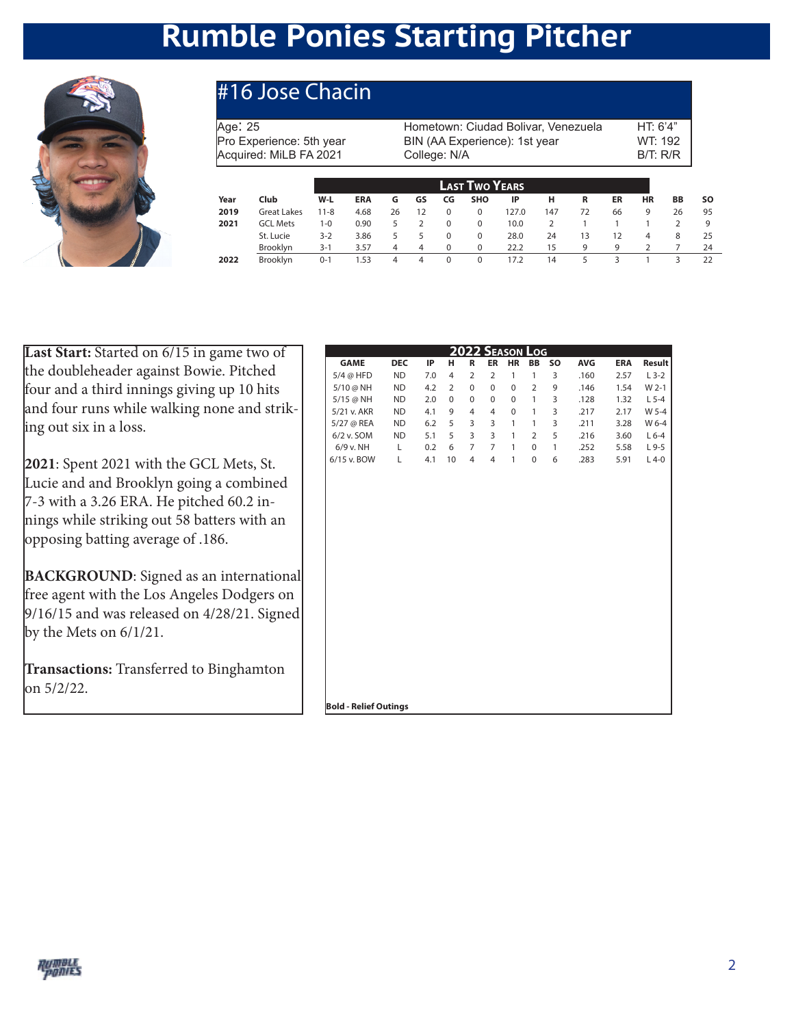## **Rumble Ponies Starting Pitcher**



### #16 Jose Chacin

Age: 25 Age: 25 Hometown: Ciudad Bolivar, Venezuela HT: 6'4"<br>Pro Experience: 5th year BIN (AA Experience): 1st year WT: 192 BIN (AA Experience): 1st year Acquired: MiLB FA 2021 College: N/A B/T: R/R

|                    |      |                   |    |    |          | <b>LAST TWO YEARS</b> |       |     |    |    |    |    |     |
|--------------------|------|-------------------|----|----|----------|-----------------------|-------|-----|----|----|----|----|-----|
| Club               | Year | W-L<br><b>ERA</b> | G  | GS | CG       | <b>SHO</b>            | IP    | н   | R  | ER | HR | BB | SO. |
| <b>Great Lakes</b> | 2019 | 4.68<br>$11 - 8$  | 26 | 12 | 0        | $\mathbf 0$           | 127.0 | 147 | 72 | 66 | 9  | 26 | 95  |
| <b>GCL Mets</b>    | 2021 | 0.90<br>$1 - 0$   | 5  | 2  | 0        | $\Omega$              | 10.0  |     |    |    |    |    | 9   |
| St. Lucie          |      | $3 - 2$<br>3.86   | 5  | 5  | $\Omega$ | $\mathbf 0$           | 28.0  | 24  | 13 | 12 | 4  | 8  | 25  |
| Brooklyn           |      | $3 - 1$<br>3.57   | 4  | 4  | $\Omega$ | $\mathbf 0$           | 22.2  | 15  | q  | 9  |    |    | 24  |
| Brooklyn           | 2022 | 1.53<br>$0 - 1$   | 4  | 4  | 0        | 0                     | 17.2  | 14  |    |    |    |    | 22  |
|                    |      |                   |    |    |          |                       |       |     |    |    |    |    |     |

**Last Start:** Started on 6/15 in game two of the doubleheader against Bowie. Pitched four and a third innings giving up 10 hits and four runs while walking none and striking out six in a loss.

**2021**: Spent 2021 with the GCL Mets, St. Lucie and and Brooklyn going a combined 7-3 with a 3.26 ERA. He pitched 60.2 innings while striking out 58 batters with an opposing batting average of .186.

**BACKGROUND**: Signed as an international free agent with the Los Angeles Dodgers on 9/16/15 and was released on 4/28/21. Signed by the Mets on 6/1/21.

**Transactions:** Transferred to Binghamton on 5/2/22.

| IP<br>R<br><b>ER</b><br>HR<br>SO<br><b>AVG</b><br><b>ERA</b><br><b>GAME</b><br><b>DEC</b><br>н<br><b>BB</b><br><b>ND</b><br>$\overline{2}$<br>5/4 @ HFD<br>7.0<br>4<br>$\overline{2}$<br>$\mathbf{1}$<br>$\mathbf{1}$<br>3<br>.160<br>2.57<br><b>ND</b><br>$\mathbf 0$<br>$\overline{2}$<br>9<br>5/10 @ NH<br>4.2<br>$\overline{2}$<br>0<br>$\mathbf 0$<br>.146<br>1.54<br>$\mathbf{1}$<br>3<br>5/15 @ NH<br><b>ND</b><br>2.0<br>$\mathbf 0$<br>0<br>$\mathbf 0$<br>$\mathbf 0$<br>1.32<br>.128<br>3<br><b>ND</b><br>9<br>2.17<br>5/21 v. AKR<br>4.1<br>4<br>4<br>0<br>1<br>.217<br>5/27 @ REA<br>5<br>3<br>3<br>3<br><b>ND</b><br>6.2<br>$\mathbf{1}$<br>$\mathbf{1}$<br>3.28<br>.211<br>6/2 v. SOM<br><b>ND</b><br>5<br>3<br>3<br>5<br>5.1<br>$\overline{2}$<br>.216<br>3.60<br>$\mathbf{1}$<br>6<br>7<br>6/9 v. NH<br>Г<br>$\overline{7}$<br>$\mathbf{1}$<br>$\mathbf 0$<br>$\mathbf{1}$<br>.252<br>0.2<br>5.58<br>6/15 v. BOW<br>$\mathbf{1}$<br>Г<br>4.1<br>10<br>4<br>$\overline{4}$<br>$\pmb{0}$<br>6<br>5.91<br>.283 |  |  | 2022 SEASON LOG |  |  |         |
|------------------------------------------------------------------------------------------------------------------------------------------------------------------------------------------------------------------------------------------------------------------------------------------------------------------------------------------------------------------------------------------------------------------------------------------------------------------------------------------------------------------------------------------------------------------------------------------------------------------------------------------------------------------------------------------------------------------------------------------------------------------------------------------------------------------------------------------------------------------------------------------------------------------------------------------------------------------------------------------------------------------------------|--|--|-----------------|--|--|---------|
|                                                                                                                                                                                                                                                                                                                                                                                                                                                                                                                                                                                                                                                                                                                                                                                                                                                                                                                                                                                                                              |  |  |                 |  |  | Result  |
|                                                                                                                                                                                                                                                                                                                                                                                                                                                                                                                                                                                                                                                                                                                                                                                                                                                                                                                                                                                                                              |  |  |                 |  |  | $L$ 3-2 |
|                                                                                                                                                                                                                                                                                                                                                                                                                                                                                                                                                                                                                                                                                                                                                                                                                                                                                                                                                                                                                              |  |  |                 |  |  | W 2-1   |
|                                                                                                                                                                                                                                                                                                                                                                                                                                                                                                                                                                                                                                                                                                                                                                                                                                                                                                                                                                                                                              |  |  |                 |  |  | $L$ 5-4 |
|                                                                                                                                                                                                                                                                                                                                                                                                                                                                                                                                                                                                                                                                                                                                                                                                                                                                                                                                                                                                                              |  |  |                 |  |  | W 5-4   |
|                                                                                                                                                                                                                                                                                                                                                                                                                                                                                                                                                                                                                                                                                                                                                                                                                                                                                                                                                                                                                              |  |  |                 |  |  | W 6-4   |
|                                                                                                                                                                                                                                                                                                                                                                                                                                                                                                                                                                                                                                                                                                                                                                                                                                                                                                                                                                                                                              |  |  |                 |  |  | $L$ 6-4 |
|                                                                                                                                                                                                                                                                                                                                                                                                                                                                                                                                                                                                                                                                                                                                                                                                                                                                                                                                                                                                                              |  |  |                 |  |  | $L9-5$  |
|                                                                                                                                                                                                                                                                                                                                                                                                                                                                                                                                                                                                                                                                                                                                                                                                                                                                                                                                                                                                                              |  |  |                 |  |  | $L$ 4-0 |
|                                                                                                                                                                                                                                                                                                                                                                                                                                                                                                                                                                                                                                                                                                                                                                                                                                                                                                                                                                                                                              |  |  |                 |  |  |         |

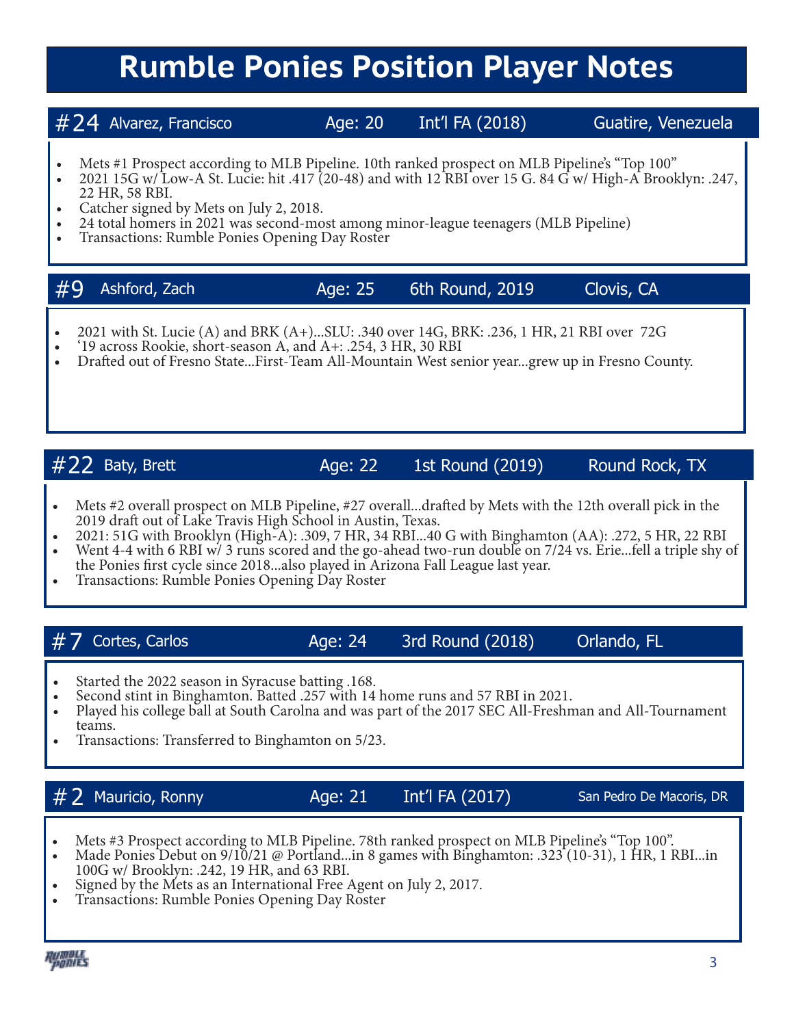## **Rumble Ponies Position Player Notes**

### #24 Alvarez, Francisco Age: 20 Int'l FA (2018) Guatire, Venezuela

- Mets #1 Prospect according to MLB Pipeline. 10th ranked prospect on MLB Pipeline's "Top 100"<br>• 2021 15G w/ Low-A St. Lucie: hit .417 (20-48) and with 12 RBI over 15 G. 84 G w/ High-A Brooklyn: .247,<br>• 22 HR, 58 RBI.
- 
- Catcher signed by Mets on July 2, 2018.<br>24 total homers in 2021 was second-most among minor-league teenagers (MLB Pipeline)<br>Transactions: Rumble Ponies Opening Day Roster
- 

### #9 Ashford, Zach Age: 25 6th Round, 2019 Clovis, CA

- 2021 with St. Lucie (A) and BRK (A+)...SLU: .340 over 14G, BRK: .236, 1 HR, 21 RBI over 72G<br>
'19 across Rookie, short-season A, and A+: .254, 3 HR, 30 RBI<br>
Drafted out of Fresno State...First-Team All-Mountain West senior
- 
- 

### $\#22$  Baty, Brett  $\qquad \qquad$  Age: 22 1st Round (2019) Round Rock, TX

- Mets #2 overall prospect on MLB Pipeline, #27 overall...drafted by Mets with the 12th overall pick in the 2019 draft out of Lake Travis High School in Austin, Texas.
- 2021: 51G with Brooklyn (High-A): .309, 7 HR, 34 RBI...40 G with Binghamton (AA): .272, 5 HR, 22 RBI Went 4-4 with 6 RBI w/3 runs scored and the go-ahead two-run double on 7/24 vs. Erie...fell a triple shy of
- the Ponies first cycle since 2018...also played in Arizona Fall League last year.<br>Transactions: Rumble Ponies Opening Day Roster

### $#7$  Cortes, Carlos  $Age: 24$  3rd Round (2018) Orlando, FL

- 
- 
- Started the 2022 season in Syracuse batting .168.<br>Second stint in Binghamton. Batted .257 with 14 home runs and 57 RBI in 2021.<br>Played his college ball at South Carolna and was part of the 2017 SEC All-Freshman and All-Tou teams.<br>Transactions: Transferred to Binghamton on 5/23.
- 

### $\#$   $2$  Mauricio, Ronny  $A$ ge: 21 Int'l FA (2017) San Pedro De Macoris, DR

- 
- Mets #3 Prospect according to MLB Pipeline. 78th ranked prospect on MLB Pipeline's "Top 100".<br>Made Ponies Debut on 9/10/21 @ Portland...in 8 games with Binghamton: .323 (10-31), 1 HR, 1 RBI...in<br>100G w/ Brooklyn: .242, 19
- Signed by the Mets as an International Free Agent on July 2, 2017. Transactions: Rumble Ponies Opening Day Roster
-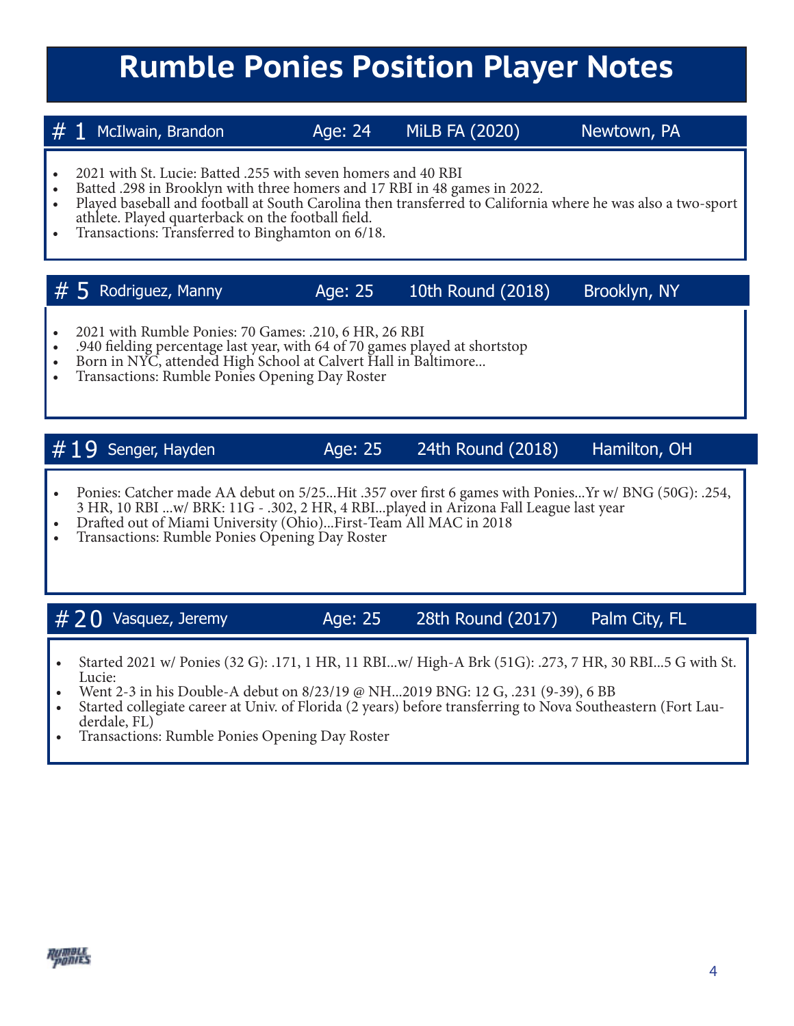## **Rumble Ponies Position Player Notes**

 $# 1$  McIlwain, Brandon  $|$ Age: 24 MiLB FA (2020) Newtown, PA

- 
- 
- 2021 with St. Lucie: Batted .255 with seven homers and 40 RBI<br>Batted .298 in Brooklyn with three homers and 17 RBI in 48 games in 2022.<br>Played baseball and football at South Carolina then transferred to California where he
- Transactions: Transferred to Binghamton on 6/18.

### $# 5$  Rodriguez, Manny  $Age: 25$  10th Round (2018) Brooklyn, NY

- 
- 2021 with Rumble Ponies: 70 Games: .210, 6 HR, 26 RBI<br>• .940 fielding percentage last year, with 64 of 70 games played at shortstop<br>• Born in NYC, attended High School at Calvert Hall in Baltimore...<br>• Transactions: Rumb
- 
- 

### $\#19$  Senger, Hayden  $\qquad \qquad$  Age: 25 24th Round (2018) Hamilton, OH

- Ponies: Catcher made AA debut on 5/25...Hit .357 over first 6 games with Ponies...Yr w/ BNG (50G): .254, 3 HR, 10 RBI ...w/ BRK: 11G - .302, 2 HR, 4 RBI...played in Arizona Fall League last year • Drafted out of Miami University (Ohio)...First-Team All MAC in 2018 • Transactions: Rumble Ponies Opening Day Roster
- 
- 

 $\#$  2 0 Vasquez, Jeremy  $\angle$  Age: 25 28th Round (2017) Palm City, FL

- Started 2021 w/ Ponies (32 G): .171, 1 HR, 11 RBI...w/ High-A Brk (51G): .273, 7 HR, 30 RBI...5 G with St.
- 
- Went 2-3 in his Double-A debut on 8/23/19 @ NH...2019 BNG: 12 G, .231 (9-39), 6 BB<br>• Started collegiate career at Univ. of Florida (2 years) before transferring to Nova Southeastern (Fort Lauderdale, FL)<br>• Transactions:
- 

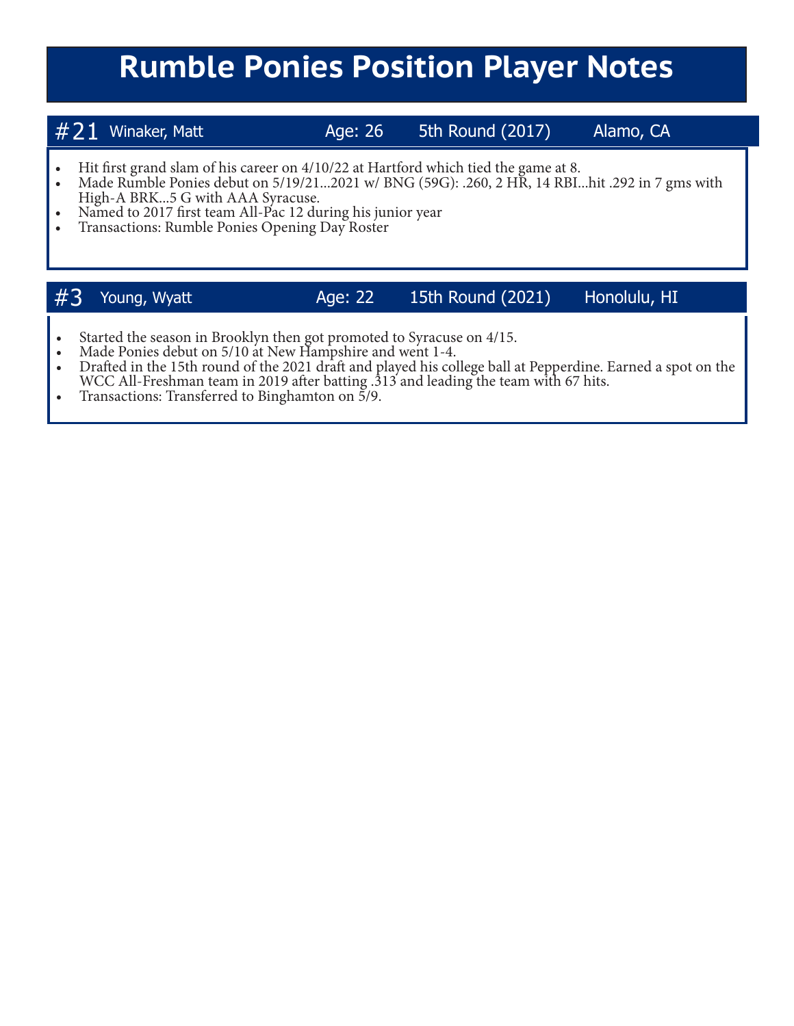## **Rumble Ponies Position Player Notes**

| $#21$ Winaker, Matt |  |
|---------------------|--|
|                     |  |

Age: 26 5th Round (2017) Alamo, CA

- 
- Hit first grand slam of his career on 4/10/22 at Hartford which tied the game at 8.<br>• Made Rumble Ponies debut on 5/19/21...2021 w/ BNG (59G): .260, 2 HR, 14 RBI...hit .292 in 7 gms with High-A BRK...5 G with AAA Syracus
- Named to 2017 first team All-Pac 12 during his junior year Transactions: Rumble Ponies Opening Day Roster
- 

### #3 Young, Wyatt Age: 22 15th Round (2021) Honolulu, HI

- 
- 
- Started the season in Brooklyn then got promoted to Syracuse on 4/15.<br>• Made Ponies debut on 5/10 at New Hampshire and went 1-4.<br>• Drafted in the 15th round of the 2021 draft and played his college ball at Pepperdine. Ea WCC All-Freshman team in 2019 after batting .313 and leading the team with 67 hits.<br>• Transactions: Transferred to Binghamton on 5/9.
-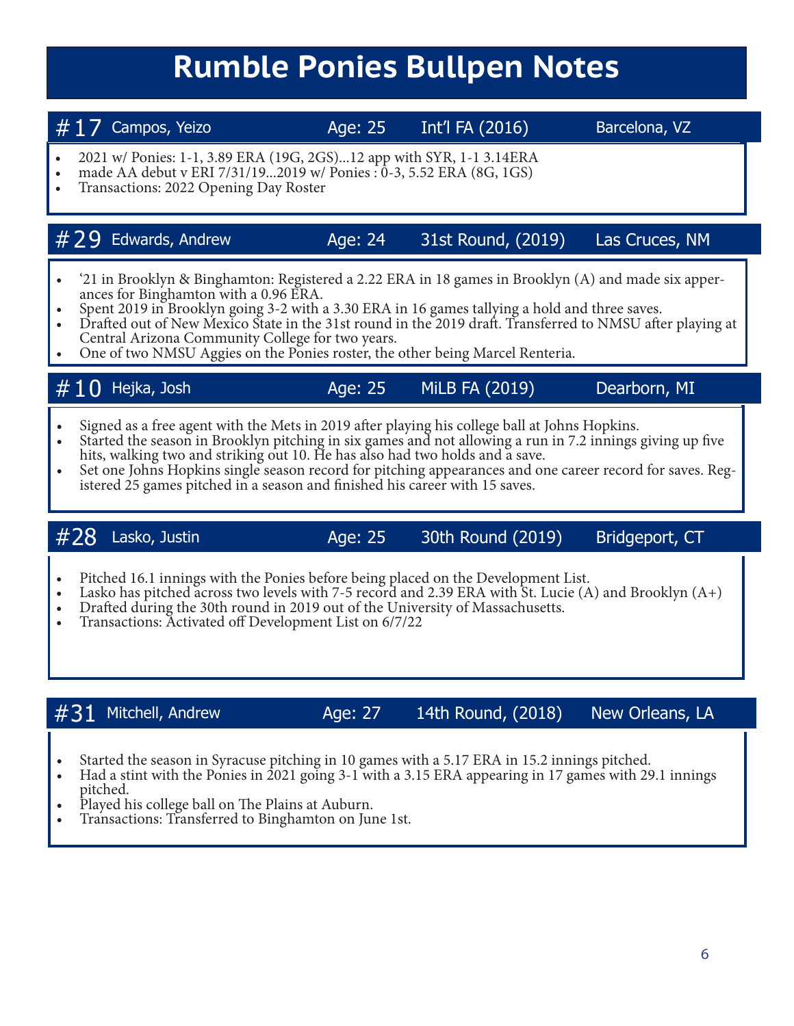## **Rumble Ponies Bullpen Notes**

 $\#$  17 Campos, Yeizo  $\qquad \qquad$  Age: 25 Int'l FA (2016) Barcelona, VZ

- 2021 w/ Ponies: 1-1, 3.89 ERA (19G, 2GS)...12 app with SYR, 1-1 3.14ERA made AA debut v ERI 7/31/19...2019 w/ Ponies : 0-3, 5.52 ERA (8G, 1GS) Transactions: 2022 Opening Day Roster
- 
- 

### $\#$  29 Edwards, Andrew  $\qquad \qquad$  Age: 24 31st Round, (2019) Las Cruces, NM

- 
- 
- '21 in Brooklyn & Binghamton: Registered a 2.22 ERA in 18 games in Brooklyn (A) and made six apperances for Binghamton with a 0.96 ERA.<br>- Spent 2019 in Brooklyn going 3-2 with a 3.30 ERA in 16 games tallying a hold and
- Che of two NMSU Aggies on the Ponies roster, the other being Marcel Renteria.

| $\#10$ Hejka, Josh | Age: 25 | MiLB FA (2019) | Dearborn, MI |
|--------------------|---------|----------------|--------------|
|--------------------|---------|----------------|--------------|

- 
- Signed as a free agent with the Mets in 2019 after playing his college ball at Johns Hopkins.<br>Started the season in Brooklyn pitching in six games and not allowing a run in 7.2 innings giving up five<br>hits, walking two and
- Set one Johns Hopkins single season record for pitching appearances and one career record for saves. Registered 25 games pitched in a season and finished his career with 15 saves.

 $#28$  Lasko, Justin  $|428 \rangle$  Age: 25 30th Round (2019) Bridgeport, CT

- 
- Pitched 16.1 innings with the Ponies before being placed on the Development List.<br>Lasko has pitched across two levels with 7-5 record and 2.39 ERA with St. Lucie (A) and Brooklyn (A+)<br>Drafted during the 30th round in 2019
- 
- 

 $\#31$  Mitchell, Andrew Age: 27 14th Round, (2018) New Orleans, LA

- 
- Started the season in Syracuse pitching in 10 games with a 5.17 ERA in 15.2 innings pitched.<br>• Had a stint with the Ponies in 2021 going 3-1 with a 3.15 ERA appearing in 17 games with 29.1 innings pitched.
- Played his college ball on The Plains at Auburn.<br>• Transactions: Transferred to Binghamton on June 1st.
-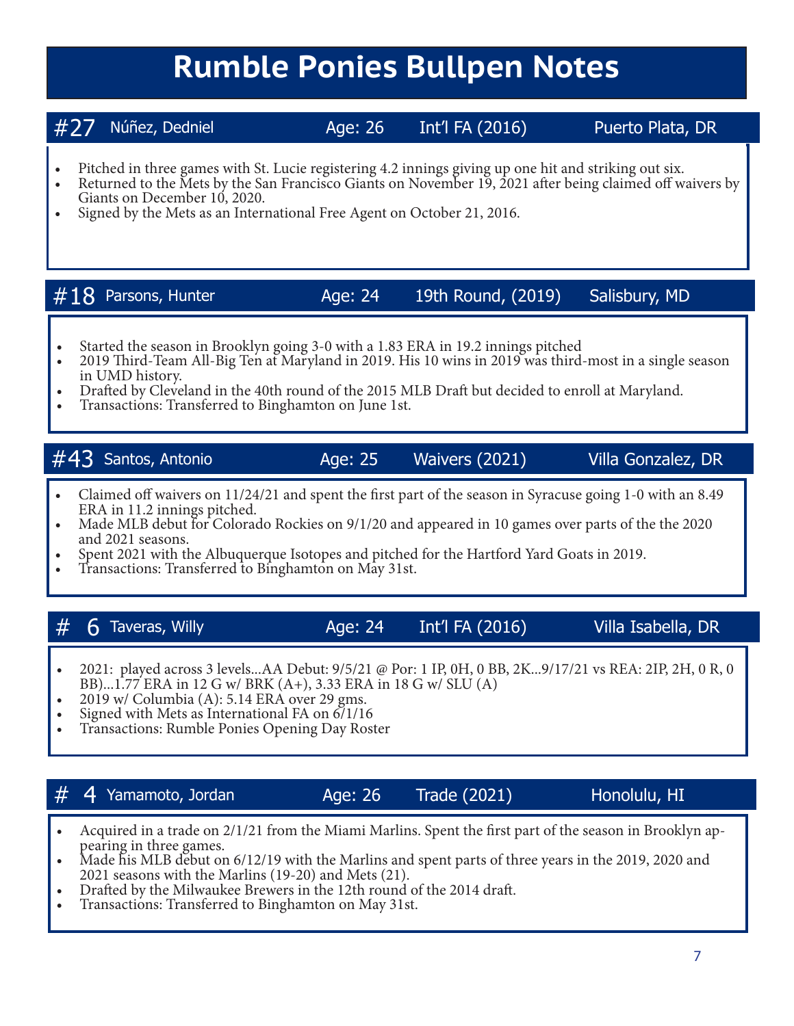## **Rumble Ponies Bullpen Notes**

7

### #27 Núñez, Dedniel Age: 26 Int'l FA (2016) Puerto Plata, DR

- 
- Pitched in three games with St. Lucie registering 4.2 innings giving up one hit and striking out six. Returned to the Mets by the San Francisco Giants on November 19, 2021 after being claimed off waivers by
- Signed by the Mets as an International Free Agent on October 21, 2016.

### $\#18$  Parsons, Hunter  $\qquad \qquad$  Age: 24 19th Round, (2019) Salisbury, MD

- 
- Started the season in Brooklyn going 3-0 with a 1.83 ERA in 19.2 innings pitched 2019 Third-Team All-Big Ten at Maryland in 2019. His 10 wins in 2019 was third-most in a single season
- Drafted by Cleveland in the 40th round of the 2015 MLB Draft but decided to enroll at Maryland.<br>• Transactions: Transferred to Binghamton on June 1st.
- 

### #43 Santos, Antonio Age: 25 Waivers (2021) Villa Gonzalez, DR

- Claimed off waivers on 11/24/21 and spent the first part of the season in Syracuse going 1-0 with an 8.49 ERA in 11.2 innings pitched.
- In Made MLB debut for Colorado Rockies on  $9/1/20$  and appeared in 10 games over parts of the the 2020 and 2021 seasons.
- Spent 2021 with the Albuquerque Isotopes and pitched for the Hartford Yard Goats in 2019. Transactions: Transferred to Binghamton on May 31st.
- 

### $#$  6 Taveras, Willy  $#$  Age: 24 Int'l FA (2016) Villa Isabella, DR

- 2021: played across 3 levels...AA Debut: 9/5/21 @ Por: 1 IP, 0H, 0 BB, 2K...9/17/21 vs REA: 2IP, 2H, 0 R, 0 BB)...1.77 ERA in 12 G w/ BRK (A+), 3.33 ERA in 18 G w/ SLU (A) 2019 w/ Columbia (A): 5.14 ERA over 29 gms.<br>Signed with Mets as International FA on 6/1/16 • Transactions: Rumble Ponies Opening Day Roster
- 
- 
- 

### $\#$  4 Yamamoto, Jordan  $\qquad \qquad$  Age: 26 Trade (2021) Honolulu, HI

- Acquired in a trade on  $2/1/21$  from the Miami Marlins. Spent the first part of the season in Brooklyn appearing in three games.<br>• Made his MLB debut on  $6/12/19$  with the Marlins and spent parts of three years in the 2
- 
- Drafted by the Milwaukee Brewers in the 12th round of the 2014 draft.<br>• Transactions: Transferred to Binghamton on May 31st.
-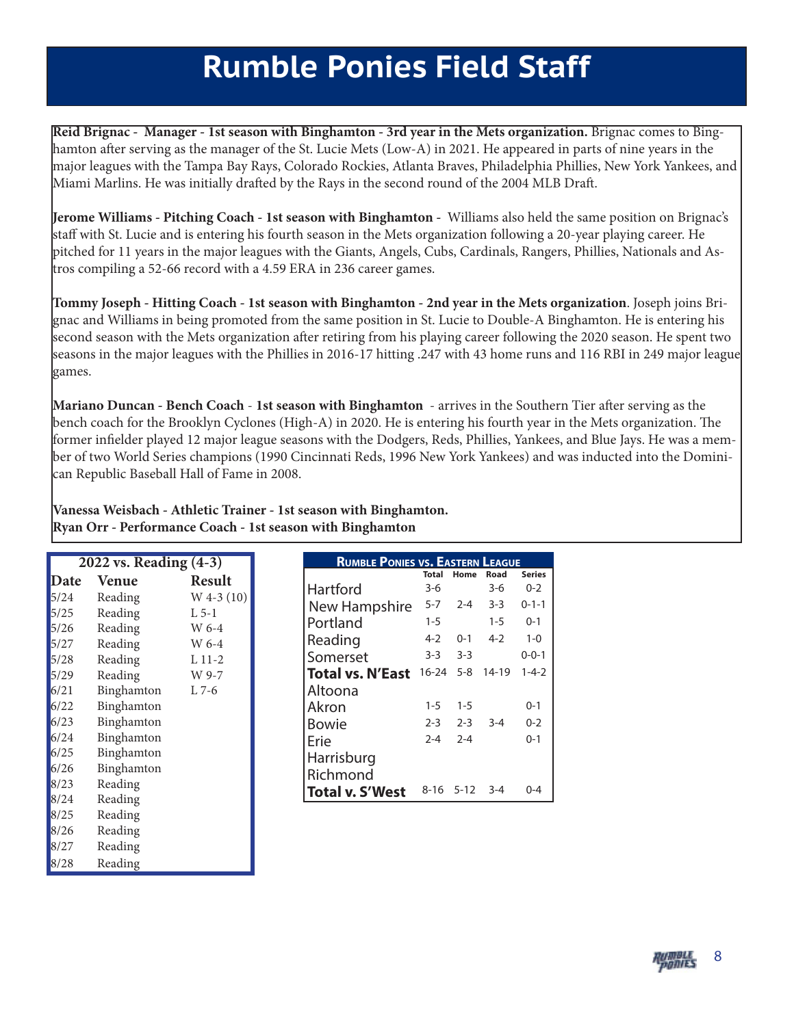## **Rumble Ponies Field Staff**

**Reid Brignac - Manager - 1st season with Binghamton - 3rd year in the Mets organization.** Brignac comes to Binghamton after serving as the manager of the St. Lucie Mets (Low-A) in 2021. He appeared in parts of nine years in the major leagues with the Tampa Bay Rays, Colorado Rockies, Atlanta Braves, Philadelphia Phillies, New York Yankees, and Miami Marlins. He was initially drafted by the Rays in the second round of the 2004 MLB Draft.

**Jerome Williams - Pitching Coach - 1st season with Binghamton -** Williams also held the same position on Brignac's staff with St. Lucie and is entering his fourth season in the Mets organization following a 20-year playing career. He pitched for 11 years in the major leagues with the Giants, Angels, Cubs, Cardinals, Rangers, Phillies, Nationals and Astros compiling a 52-66 record with a 4.59 ERA in 236 career games.

**Tommy Joseph - Hitting Coach - 1st season with Binghamton - 2nd year in the Mets organization**. Joseph joins Brignac and Williams in being promoted from the same position in St. Lucie to Double-A Binghamton. He is entering his second season with the Mets organization after retiring from his playing career following the 2020 season. He spent two seasons in the major leagues with the Phillies in 2016-17 hitting .247 with 43 home runs and 116 RBI in 249 major league games.

**Mariano Duncan - Bench Coach** - **1st season with Binghamton** - arrives in the Southern Tier after serving as the bench coach for the Brooklyn Cyclones (High-A) in 2020. He is entering his fourth year in the Mets organization. The former infielder played 12 major league seasons with the Dodgers, Reds, Phillies, Yankees, and Blue Jays. He was a member of two World Series champions (1990 Cincinnati Reds, 1996 New York Yankees) and was inducted into the Dominican Republic Baseball Hall of Fame in 2008.

**Vanessa Weisbach - Athletic Trainer - 1st season with Binghamton. Ryan Orr - Performance Coach - 1st season with Binghamton**

| 2022 vs. Reading (4-3) |              |               |  |  |
|------------------------|--------------|---------------|--|--|
| Date                   | <b>Venue</b> | <b>Result</b> |  |  |
| $5/24$                 | Reading      | $W$ 4-3 (10)  |  |  |
| 5/25                   | Reading      | $L$ 5-1       |  |  |
| 5/26                   | Reading      | W 6-4         |  |  |
| 5/27                   | Reading      | W 6-4         |  |  |
| 5/28                   | Reading      | $L$ 11-2      |  |  |
| 5/29                   | Reading      | W 9-7         |  |  |
| 6/21                   | Binghamton   | $L$ 7-6       |  |  |
| $6/22$                 | Binghamton   |               |  |  |
| 6/23                   | Binghamton   |               |  |  |
| 6/24                   | Binghamton   |               |  |  |
| 6/25                   | Binghamton   |               |  |  |
| 6/26                   | Binghamton   |               |  |  |
| 8/23                   | Reading      |               |  |  |
| 8/24                   | Reading      |               |  |  |
| 8/25                   | Reading      |               |  |  |
| 8/26                   | Reading      |               |  |  |
| 8/27                   | Reading      |               |  |  |
| 8/28                   | Reading      |               |  |  |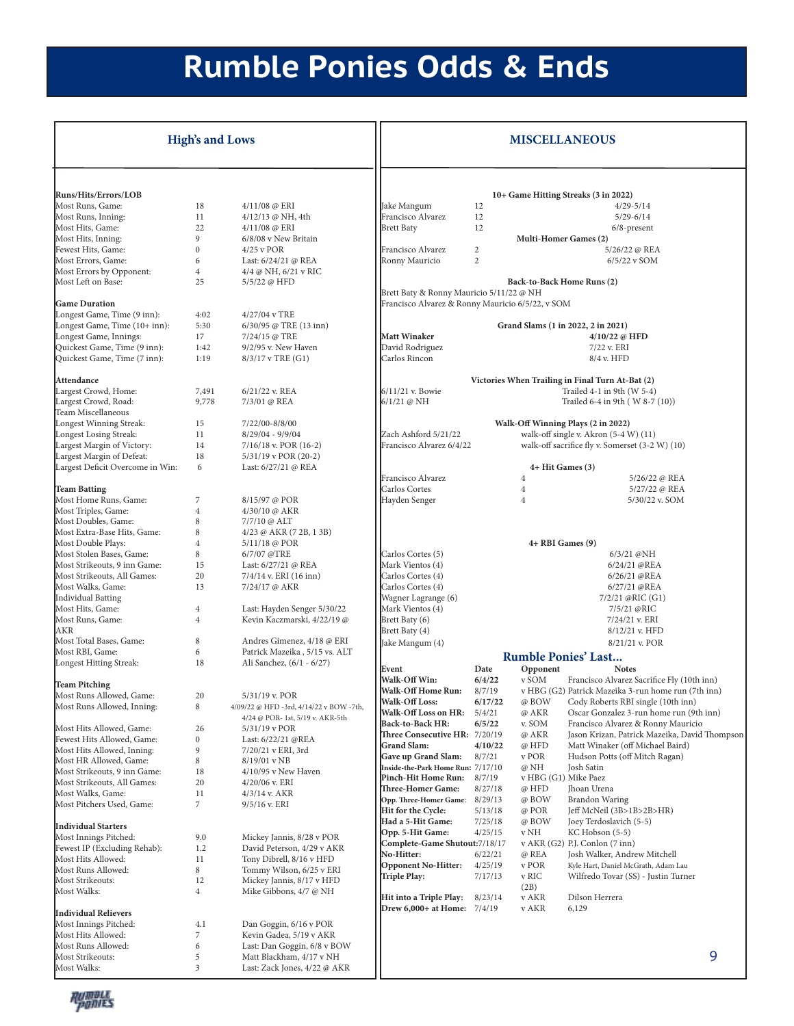## **Rumble Ponies Odds & Ends**

|                                                             | <b>High's and Lows</b> |                                                          |                                                     |              |                | <b>MISCELLANEOUS</b>                                                              |
|-------------------------------------------------------------|------------------------|----------------------------------------------------------|-----------------------------------------------------|--------------|----------------|-----------------------------------------------------------------------------------|
|                                                             |                        |                                                          |                                                     |              |                |                                                                                   |
| <b>Runs/Hits/Errors/LOB</b><br>Most Runs, Game:             | 18                     | 4/11/08 @ ERI                                            | Jake Mangum                                         | 12           |                | 10+ Game Hitting Streaks (3 in 2022)<br>$4/29 - 5/14$                             |
| Most Runs, Inning:                                          | 11                     | 4/12/13 @ NH, 4th                                        | Francisco Alvarez                                   | 12           |                | $5/29 - 6/14$                                                                     |
| Most Hits, Game:                                            | 22                     | 4/11/08 @ ERI                                            | <b>Brett Baty</b>                                   | 12           |                | $6/8$ -present                                                                    |
| Most Hits, Inning:                                          | 9                      | 6/8/08 v New Britain                                     |                                                     |              |                | Multi-Homer Games (2)                                                             |
| Fewest Hits, Game:                                          | $\bf{0}$               | $4/25$ v POR                                             | Francisco Alvarez                                   | $\mathbf{2}$ |                | 5/26/22 @ REA                                                                     |
| Most Errors, Game:                                          | 6                      | Last: 6/24/21 @ REA                                      | Ronny Mauricio                                      | 2            |                | 6/5/22 v SOM                                                                      |
| Most Errors by Opponent:                                    | $\overline{4}$         | $4/4 \omega$ NH, $6/21$ v RIC                            |                                                     |              |                |                                                                                   |
| Most Left on Base:                                          | 25                     | 5/5/22 @ HFD                                             | Brett Baty & Ronny Mauricio 5/11/22 @ NH            |              |                | Back-to-Back Home Runs (2)                                                        |
| <b>Game Duration</b>                                        |                        |                                                          | Francisco Alvarez & Ronny Mauricio 6/5/22, v SOM    |              |                |                                                                                   |
| Longest Game, Time (9 inn):                                 | 4:02                   | 4/27/04 v TRE                                            |                                                     |              |                |                                                                                   |
| Longest Game, Time (10+ inn):                               | 5:30                   | 6/30/95 @ TRE (13 inn)                                   |                                                     |              |                | Grand Slams (1 in 2022, 2 in 2021)                                                |
| Longest Game, Innings:                                      | 17                     | 7/24/15 @ TRE                                            | <b>Matt Winaker</b>                                 |              |                | 4/10/22 @ HFD                                                                     |
| Quickest Game, Time (9 inn):                                | 1:42                   | $9/2/95$ v. New Haven                                    | David Rodriguez                                     |              |                | 7/22 v. ERI                                                                       |
| Quickest Game, Time (7 inn):                                | 1:19                   | $8/3/17$ v TRE $(G1)$                                    | Carlos Rincon                                       |              |                | 8/4 v. HFD                                                                        |
| Attendance                                                  |                        |                                                          |                                                     |              |                | Victories When Trailing in Final Turn At-Bat (2)                                  |
| Largest Crowd, Home:                                        | 7,491                  | 6/21/22 v. REA                                           | $6/11/21$ v. Bowie                                  |              |                | Trailed 4-1 in 9th (W 5-4)                                                        |
| Largest Crowd, Road:                                        | 9,778                  | 7/3/01 @ REA                                             | 6/1/21 @ NH                                         |              |                | Trailed 6-4 in 9th (W 8-7 (10))                                                   |
| Team Miscellaneous                                          |                        |                                                          |                                                     |              |                |                                                                                   |
| Longest Winning Streak:                                     | 15                     | 7/22/00-8/8/00                                           |                                                     |              |                | Walk-Off Winning Plays (2 in 2022)                                                |
| Longest Losing Streak:                                      | 11                     | $8/29/04 - 9/9/04$                                       | Zach Ashford 5/21/22                                |              |                | walk-off single v. Akron (5-4 W) (11)                                             |
| Largest Margin of Victory:                                  | 14                     | $7/16/18$ v. POR (16-2)                                  | Francisco Alvarez 6/4/22                            |              |                | walk-off sacrifice fly v. Somerset (3-2 W) (10)                                   |
| Largest Margin of Defeat:                                   | 18                     | $5/31/19$ v POR (20-2)                                   |                                                     |              |                |                                                                                   |
| Largest Deficit Overcome in Win:                            | 6                      | Last: 6/27/21 @ REA                                      | Francisco Alvarez                                   |              | $\overline{4}$ | 4+ Hit Games (3)<br>5/26/22 @ REA                                                 |
| <b>Team Batting</b>                                         |                        |                                                          | Carlos Cortes                                       |              | $\overline{4}$ | 5/27/22 @ REA                                                                     |
| Most Home Runs, Game:                                       | 7                      | 8/15/97 @ POR                                            | Hayden Senger                                       |              | $\overline{4}$ | 5/30/22 v. SOM                                                                    |
| Most Triples, Game:                                         | $\overline{4}$         | 4/30/10 @ AKR                                            |                                                     |              |                |                                                                                   |
| Most Doubles, Game:                                         | 8                      | 7/7/10 @ ALT                                             |                                                     |              |                |                                                                                   |
| Most Extra-Base Hits, Game:                                 | 8                      | $4/23 \omega$ AKR (7 2B, 1 3B)                           |                                                     |              |                |                                                                                   |
| Most Double Plays:                                          | $\overline{4}$         | 5/11/18 @ POR                                            |                                                     |              |                | 4+ RBI Games (9)                                                                  |
| Most Stolen Bases, Game:                                    | 8                      | 6/7/07 @TRE                                              | Carlos Cortes (5)                                   |              |                | 6/3/21 @NH                                                                        |
| Most Strikeouts, 9 inn Game:                                | 15                     | Last: 6/27/21 @ REA                                      | Mark Vientos (4)                                    |              |                | 6/24/21 @REA                                                                      |
| Most Strikeouts, All Games:<br>Most Walks, Game:            | 20<br>13               | $7/4/14$ v. ERI (16 inn)                                 | Carlos Cortes (4)<br>Carlos Cortes (4)              |              |                | 6/26/21 @REA<br>6/27/21 @REA                                                      |
| <b>Individual Batting</b>                                   |                        | 7/24/17 @ AKR                                            | Wagner Lagrange (6)                                 |              |                | 7/2/21 @RIC (G1)                                                                  |
| Most Hits, Game:                                            | $\overline{4}$         | Last: Hayden Senger 5/30/22                              | Mark Vientos (4)                                    |              |                | 7/5/21 @RIC                                                                       |
| Most Runs, Game:                                            | 4                      | Kevin Kaczmarski, 4/22/19 @                              | Brett Baty (6)                                      |              |                | 7/24/21 v. ERI                                                                    |
| <b>AKR</b>                                                  |                        |                                                          | Brett Baty (4)                                      |              |                | $8/12/21$ v. HFD                                                                  |
| Most Total Bases, Game:                                     | 8                      | Andres Gimenez, 4/18 @ ERI                               | Jake Mangum (4)                                     |              |                | 8/21/21 v. POR                                                                    |
| Most RBI, Game:                                             | 6                      | Patrick Mazeika, 5/15 vs. ALT                            |                                                     |              |                | <b>Rumble Ponies' Last</b>                                                        |
| Longest Hitting Streak:                                     | 18                     | Ali Sanchez, (6/1 - 6/27)                                | Event                                               | Date         | Opponent       | <b>Notes</b>                                                                      |
| <b>Team Pitching</b>                                        |                        |                                                          | Walk-Off Win:                                       | 6/4/22       | v SOM          | Francisco Alvarez Sacrifice Fly (10th inn)                                        |
| Most Runs Allowed, Game:                                    | 20                     | 5/31/19 v. POR                                           | Walk-Off Home Run:                                  | 8/7/19       |                | v HBG (G2) Patrick Mazeika 3-run home run (7th inn)                               |
| Most Runs Allowed, Inning:                                  | 8                      | 4/09/22 @ HFD -3rd, 4/14/22 v BOW -7th,                  | Walk-Off Loss:                                      | 6/17/22      | @ BOW          | Cody Roberts RBI single (10th inn)                                                |
|                                                             |                        | 4/24 @ POR- 1st, 5/19 v. AKR-5th                         | Walk-Off Loss on HR:                                | 5/4/21       | @ AKR          | Oscar Gonzalez 3-run home run (9th inn)                                           |
| Most Hits Allowed, Game:                                    | 26                     | $5/31/19$ v POR                                          | Back-to-Back HR:                                    | 6/5/22       | v. SOM         | Francisco Alvarez & Ronny Mauricio                                                |
| Fewest Hits Allowed, Game:                                  | $\boldsymbol{0}$       | Last: 6/22/21 @REA                                       | Three Consecutive HR: 7/20/19<br><b>Grand Slam:</b> | 4/10/22      | @ AKR<br>@ HFD | Jason Krizan, Patrick Mazeika, David Thompson<br>Matt Winaker (off Michael Baird) |
| Most Hits Allowed, Inning:                                  | 9                      | 7/20/21 v ERI, 3rd                                       | Gave up Grand Slam:                                 | 8/7/21       | v POR          | Hudson Potts (off Mitch Ragan)                                                    |
| Most HR Allowed, Game:                                      | 8                      | $8/19/01$ v NB                                           | Inside-the-Park Home Run: 7/17/10                   |              | @ NH           | Josh Satin                                                                        |
| Most Strikeouts, 9 inn Game:<br>Most Strikeouts, All Games: | 18<br>20               | $4/10/95$ v New Haven<br>$4/20/06$ v. ERI                | Pinch-Hit Home Run:                                 | 8/7/19       |                | v HBG (G1) Mike Paez                                                              |
| Most Walks, Game:                                           | 11                     | $4/3/14$ v. AKR                                          | Three-Homer Game:                                   | 8/27/18      | @ HFD          | Jhoan Urena                                                                       |
| Most Pitchers Used, Game:                                   | $\overline{7}$         | $9/5/16$ v. ERI                                          | Opp. Three-Homer Game:                              | 8/29/13      | @ BOW          | <b>Brandon Waring</b>                                                             |
|                                                             |                        |                                                          | Hit for the Cycle:                                  | 5/13/18      | @ POR          | Jeff McNeil (3B>1B>2B>HR)                                                         |
| <b>Individual Starters</b>                                  |                        |                                                          | Had a 5-Hit Game:                                   | 7/25/18      | @ BOW          | Joey Terdoslavich (5-5)                                                           |
| Most Innings Pitched:                                       | 9.0                    | Mickey Jannis, 8/28 v POR                                | Opp. 5-Hit Game:<br>Complete-Game Shutout: 7/18/17  | 4/25/15      | v NH           | KC Hobson (5-5)<br>v AKR (G2) P.J. Conlon (7 inn)                                 |
| Fewest IP (Excluding Rehab):                                | 1.2                    | David Peterson, 4/29 v AKR                               | No-Hitter:                                          | 6/22/21      | @ REA          | Josh Walker, Andrew Mitchell                                                      |
| Most Hits Allowed:                                          | 11                     | Tony Dibrell, 8/16 v HFD                                 | Opponent No-Hitter:                                 | 4/25/19      | v POR          | Kyle Hart, Daniel McGrath, Adam Lau                                               |
| Most Runs Allowed:<br>Most Strikeouts:                      | 8<br>12                | Tommy Wilson, 6/25 v ERI                                 | Triple Play:                                        | 7/17/13      | v RIC          | Wilfredo Tovar (SS) - Justin Turner                                               |
| Most Walks:                                                 | $\overline{4}$         | Mickey Jannis, 8/17 v HFD<br>Mike Gibbons, 4/7 @ NH      |                                                     |              | (2B)           |                                                                                   |
|                                                             |                        |                                                          | Hit into a Triple Play:                             | 8/23/14      | v AKR          | Dilson Herrera                                                                    |
| <b>Individual Relievers</b>                                 |                        |                                                          | Drew 6,000+ at Home: 7/4/19                         |              | v AKR          | 6,129                                                                             |
| Most Innings Pitched:                                       | 4.1                    | Dan Goggin, 6/16 v POR                                   |                                                     |              |                |                                                                                   |
| Most Hits Allowed:                                          | 7                      | Kevin Gadea, 5/19 v AKR                                  |                                                     |              |                |                                                                                   |
| Most Runs Allowed:                                          | 6                      | Last: Dan Goggin, 6/8 v BOW                              |                                                     |              |                |                                                                                   |
| Most Strikeouts:<br>Most Walks:                             | 5<br>$\mathfrak{Z}$    | Matt Blackham, 4/17 v NH<br>Last: Zack Jones, 4/22 @ AKR |                                                     |              |                | 9                                                                                 |
|                                                             |                        |                                                          |                                                     |              |                |                                                                                   |

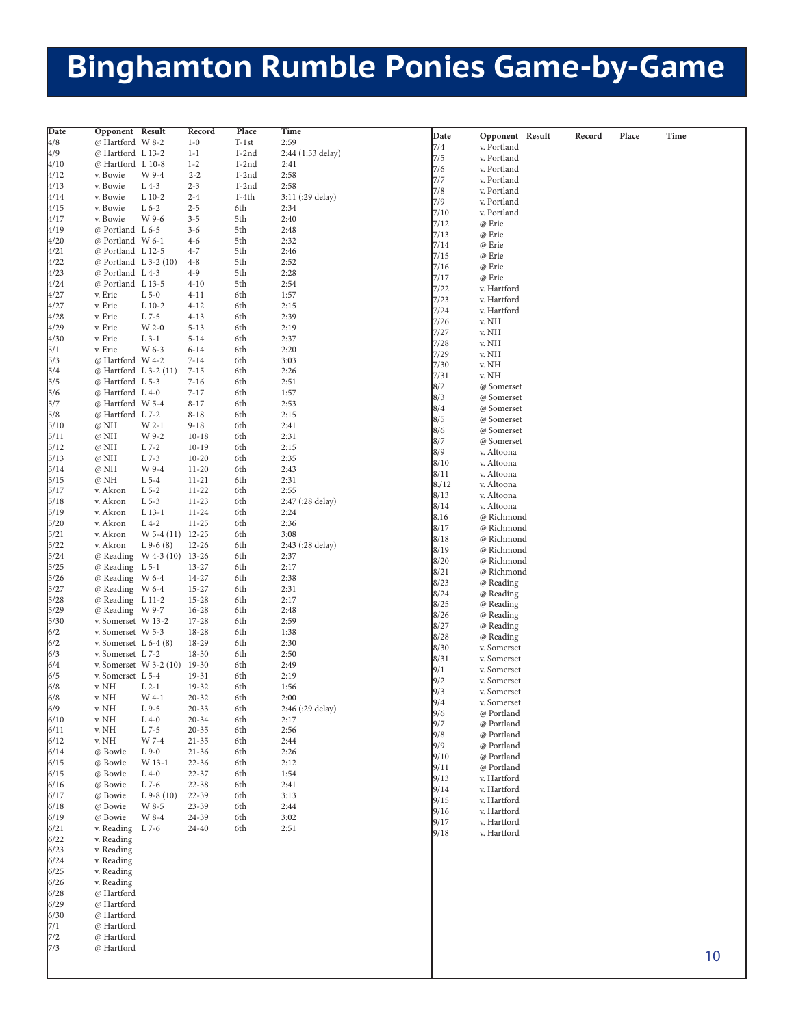## **Binghamton Rumble Ponies Game-by-Game**

| Date            | Opponent Result         |              | Record    | Place   | Time              |       |                 |        |       |      |    |
|-----------------|-------------------------|--------------|-----------|---------|-------------------|-------|-----------------|--------|-------|------|----|
| 4/8             | @ Hartford W 8-2        |              | $1 - 0$   | $T-1st$ | 2:59              | Date  | Opponent Result | Record | Place | Time |    |
| 4/9             | @ Hartford L 13-2       |              | $1 - 1$   | T-2nd   | 2:44 (1:53 delay) | 7/4   | v. Portland     |        |       |      |    |
|                 |                         |              |           |         |                   | 7/5   | v. Portland     |        |       |      |    |
| 4/10            | @ Hartford L 10-8       |              | $1 - 2$   | T-2nd   | 2:41              | 7/6   | v. Portland     |        |       |      |    |
| 4/12            | v. Bowie                | W 9-4        | $2 - 2$   | T-2nd   | 2:58              | 7/7   | v. Portland     |        |       |      |    |
| 4/13            | v. Bowie                | $L$ 4-3      | $2 - 3$   | T-2nd   | 2:58              | 7/8   | v. Portland     |        |       |      |    |
| 4/14            | v. Bowie                | $L$ 10-2     | $2 - 4$   | T-4th   | 3:11 (:29 delay)  | 7/9   | v. Portland     |        |       |      |    |
| 4/15            | v. Bowie                | $L6-2$       | $2 - 5$   | 6th     | 2:34              | 7/10  | v. Portland     |        |       |      |    |
| 4/17            | v. Bowie                | W 9-6        | $3 - 5$   | 5th     | 2:40              | 7/12  |                 |        |       |      |    |
| 4/19            | @ Portland L 6-5        |              | $3 - 6$   | 5th     | 2:48              |       | @ Erie          |        |       |      |    |
| 4/20            | @ Portland W 6-1        |              | $4-6$     | 5th     | 2:32              | 7/13  | @ Erie          |        |       |      |    |
| 4/21            | @ Portland L 12-5       |              | $4 - 7$   | 5th     | 2:46              | 7/14  | @ Erie          |        |       |      |    |
| 4/22            | @ Portland L 3-2 (10)   |              | $4 - 8$   | 5th     | 2:52              | 7/15  | @ Erie          |        |       |      |    |
|                 |                         |              |           |         |                   | 7/16  | @ Erie          |        |       |      |    |
| 4/23            | @ Portland L 4-3        |              | $4 - 9$   | 5th     | 2:28              | 7/17  | @ Erie          |        |       |      |    |
| 4/24            | @ Portland L 13-5       |              | $4 - 10$  | 5th     | 2:54              | 7/22  | v. Hartford     |        |       |      |    |
| 4/27            | v. Erie                 | $L$ 5-0      | $4 - 11$  | 6th     | 1:57              | 7/23  | v. Hartford     |        |       |      |    |
| 4/27            | v. Erie                 | $L$ 10-2     | $4 - 12$  | 6th     | 2:15              | 7/24  | v. Hartford     |        |       |      |    |
| 4/28            | v. Erie                 | L 7-5        | $4 - 13$  | 6th     | 2:39              | 7/26  | v. NH           |        |       |      |    |
| 4/29            | v. Erie                 | W 2-0        | $5 - 13$  | 6th     | 2:19              | 7/27  | v. NH           |        |       |      |    |
| 4/30            | v. Erie                 | $L$ 3-1      | $5 - 14$  | 6th     | 2:37              |       |                 |        |       |      |    |
| 5/1             | v. Erie                 | W 6-3        | $6 - 14$  | 6th     | 2:20              | 7/28  | v. NH           |        |       |      |    |
| 5/3             | @ Hartford W 4-2        |              | $7 - 14$  | 6th     | 3:03              | 7/29  | v. NH           |        |       |      |    |
| 5/4             | @ Hartford L 3-2 (11)   |              | $7 - 15$  | 6th     | 2:26              | 7/30  | v. NH           |        |       |      |    |
|                 |                         |              |           |         |                   | 7/31  | v. NH           |        |       |      |    |
| 5/5             | @ Hartford L 5-3        |              | $7 - 16$  | 6th     | 2:51              | 8/2   | @ Somerset      |        |       |      |    |
| 5/6             | @ Hartford L 4-0        |              | $7 - 17$  | 6th     | 1:57              | 8/3   | @ Somerset      |        |       |      |    |
| 5/7             | @ Hartford W 5-4        |              | $8 - 17$  | 6th     | 2:53              | 8/4   | @ Somerset      |        |       |      |    |
| 5/8             | @ Hartford L 7-2        |              | $8 - 18$  | 6th     | 2:15              | 8/5   | @ Somerset      |        |       |      |    |
| 5/10            | @ NH                    | W 2-1        | $9 - 18$  | 6th     | 2:41              | 8/6   | @ Somerset      |        |       |      |    |
| 5/11            | @ NH                    | W 9-2        | $10 - 18$ | 6th     | 2:31              |       |                 |        |       |      |    |
| 5/12            | @ NH                    | L 7-2        | $10-19$   | 6th     | 2:15              | 8/7   | @ Somerset      |        |       |      |    |
| 5/13            | @ NH                    | L 7-3        | $10 - 20$ | 6th     | 2:35              | 8/9   | v. Altoona      |        |       |      |    |
| 5/14            | @ NH                    | W 9-4        | $11 - 20$ | 6th     | 2:43              | 8/10  | v. Altoona      |        |       |      |    |
|                 |                         | $L$ 5-4      |           |         | 2:31              | 8/11  | v. Altoona      |        |       |      |    |
| 5/15            | @ NH                    |              | $11 - 21$ | 6th     |                   | 8./12 | v. Altoona      |        |       |      |    |
| 5/17            | v. Akron                | $L$ 5-2      | $11 - 22$ | 6th     | 2:55              | 8/13  | v. Altoona      |        |       |      |    |
| 5/18            | v. Akron                | $L$ 5-3      | $11 - 23$ | 6th     | 2:47 (:28 delay)  | 8/14  | v. Altoona      |        |       |      |    |
| 5/19            | v. Akron                | L 13-1       | $11 - 24$ | 6th     | 2:24              | 8.16  | @ Richmond      |        |       |      |    |
| 5/20            | v. Akron                | $L$ 4-2      | $11 - 25$ | 6th     | 2:36              | 8/17  | @ Richmond      |        |       |      |    |
| 5/21            | v. Akron                | $W$ 5-4 (11) | $12 - 25$ | 6th     | 3:08              |       |                 |        |       |      |    |
| 5/22            | v. Akron                | $L9-6(8)$    | $12 - 26$ | 6th     | 2:43 (:28 delay)  | 8/18  | @ Richmond      |        |       |      |    |
| 5/24            | @ Reading W 4-3 (10)    |              | $13 - 26$ | 6th     | 2:37              | 8/19  | @ Richmond      |        |       |      |    |
| 5/25            | @ Reading L 5-1         |              | $13 - 27$ | 6th     | 2:17              | 8/20  | @ Richmond      |        |       |      |    |
| 5/26            | @ Reading W 6-4         |              | 14-27     | 6th     | 2:38              | 8/21  | @ Richmond      |        |       |      |    |
|                 |                         |              |           |         |                   | 8/23  | @ Reading       |        |       |      |    |
| 5/27            | @ Reading W 6-4         |              | $15 - 27$ | 6th     | 2:31              | 8/24  | @ Reading       |        |       |      |    |
| 5/28            | @ Reading L 11-2        |              | $15 - 28$ | 6th     | 2:17              | 8/25  | @ Reading       |        |       |      |    |
| 5/29            | @ Reading W 9-7         |              | 16-28     | 6th     | 2:48              | 8/26  | @ Reading       |        |       |      |    |
| 5/30            | v. Somerset W 13-2      |              | $17 - 28$ | 6th     | 2:59              | 8/27  | @ Reading       |        |       |      |    |
| 6/2             | v. Somerset W 5-3       |              | 18-28     | 6th     | 1:38              | 8/28  | @ Reading       |        |       |      |    |
| 6/2             | v. Somerset $L$ 6-4 (8) |              | 18-29     | 6th     | 2:30              |       |                 |        |       |      |    |
| 6/3             | v. Somerset L 7-2       |              | $18 - 30$ | 6th     | 2:50              | 8/30  | v. Somerset     |        |       |      |    |
| 6/4             | v. Somerset W 3-2 (10)  |              | 19-30     | 6th     | 2:49              | 8/31  | v. Somerset     |        |       |      |    |
| 6/5             | v. Somerset L 5-4       |              | 19-31     | 6th     | 2:19              | 9/1   | v. Somerset     |        |       |      |    |
| 6/8             | v. NH                   | $L_{2-1}$    | 19-32     | 6th     | 1:56              | 9/2   | v. Somerset     |        |       |      |    |
|                 |                         |              |           |         |                   | 9/3   | v. Somerset     |        |       |      |    |
| 6/8             | v. NH                   | W 4-1        | $20 - 32$ | 6th     | 2:00              | 9/4   | v. Somerset     |        |       |      |    |
| $6/9$<br>$6/10$ | v. NH                   | $L9-5$       | $20 - 33$ | 6th     | 2:46 (:29 delay)  | 9/6   | @ Portland      |        |       |      |    |
|                 | v. NH                   | $L$ 4-0      | $20 - 34$ | 6th     | 2:17              | 9/7   | @ Portland      |        |       |      |    |
| 6/11            | v. NH                   | L 7-5        | $20 - 35$ | 6th     | 2:56              | 9/8   | @ Portland      |        |       |      |    |
| 6/12            | v. NH                   | W 7-4        | $21 - 35$ | 6th     | 2:44              | 9/9   | @ Portland      |        |       |      |    |
| 6/14            | @ Bowie                 | $L9-0$       | $21 - 36$ | 6th     | 2:26              |       | @ Portland      |        |       |      |    |
| 6/15            | @ Bowie                 | W 13-1       | $22 - 36$ | 6th     | 2:12              | 9/10  |                 |        |       |      |    |
| 6/15            | @ Bowie                 | $L$ 4-0      | $22 - 37$ | 6th     | 1:54              | 9/11  | @ Portland      |        |       |      |    |
| 6/16            | @ Bowie                 | $L$ 7-6      | $22 - 38$ | 6th     | 2:41              | 9/13  | v. Hartford     |        |       |      |    |
| 6/17            | @ Bowie                 | $L$ 9-8 (10) | $22 - 39$ | 6th     | 3:13              | 9/14  | v. Hartford     |        |       |      |    |
|                 |                         |              |           |         |                   | 9/15  | v. Hartford     |        |       |      |    |
| 6/18            | @ Bowie                 | W 8-5        | $23 - 39$ | 6th     | 2:44              | 9/16  | v. Hartford     |        |       |      |    |
| 6/19            | @ Bowie                 | W 8-4        | 24-39     | 6th     | 3:02              | 9/17  | v. Hartford     |        |       |      |    |
| 6/21            | v. Reading              | L 7-6        | 24-40     | 6th     | 2:51              | 9/18  | v. Hartford     |        |       |      |    |
| 6/22            | v. Reading              |              |           |         |                   |       |                 |        |       |      |    |
| 6/23            | v. Reading              |              |           |         |                   |       |                 |        |       |      |    |
| 6/24            | v. Reading              |              |           |         |                   |       |                 |        |       |      |    |
| 6/25            | v. Reading              |              |           |         |                   |       |                 |        |       |      |    |
| 6/26            | v. Reading              |              |           |         |                   |       |                 |        |       |      |    |
| 6/28            | @ Hartford              |              |           |         |                   |       |                 |        |       |      |    |
| 6/29            | @ Hartford              |              |           |         |                   |       |                 |        |       |      |    |
| 6/30            | @ Hartford              |              |           |         |                   |       |                 |        |       |      |    |
|                 |                         |              |           |         |                   |       |                 |        |       |      |    |
| 7/1             | @ Hartford              |              |           |         |                   |       |                 |        |       |      |    |
| 7/2             | @ Hartford              |              |           |         |                   |       |                 |        |       |      |    |
| 7/3             | @ Hartford              |              |           |         |                   |       |                 |        |       |      |    |
|                 |                         |              |           |         |                   |       |                 |        |       |      | 10 |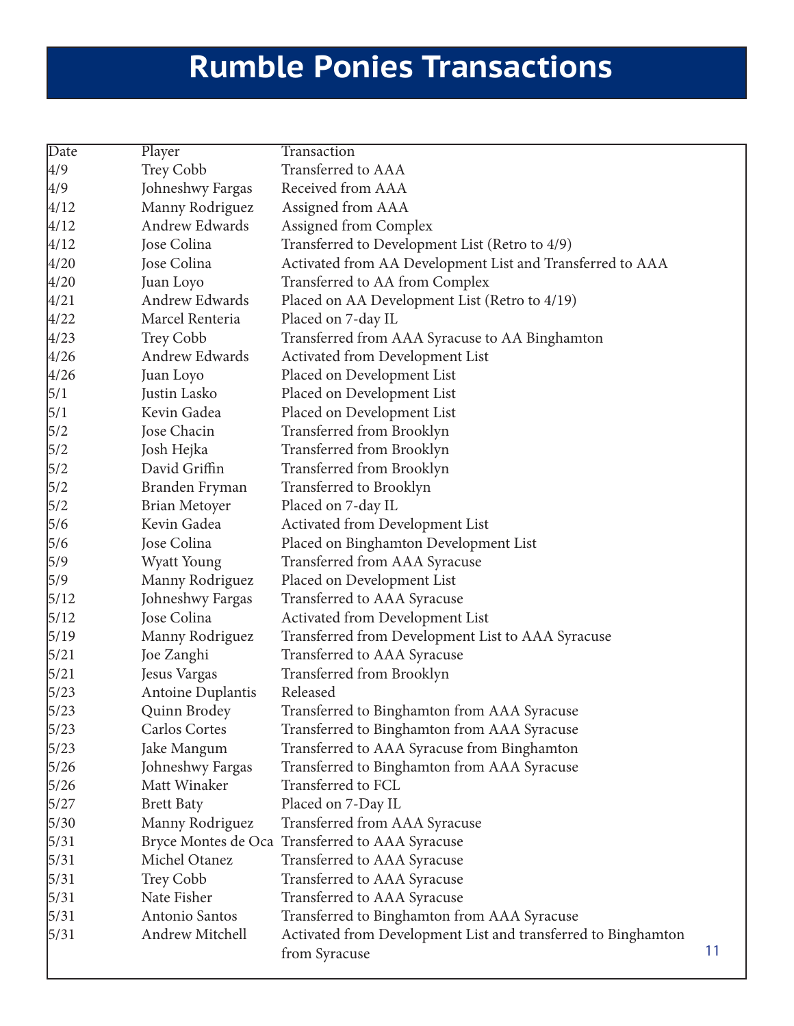## **Rumble Ponies Transactions**

| Date   | Player                   | Transaction                                                                    |    |
|--------|--------------------------|--------------------------------------------------------------------------------|----|
| 4/9    | Trey Cobb                | Transferred to AAA                                                             |    |
| 4/9    | Johneshwy Fargas         | Received from AAA                                                              |    |
| 4/12   | Manny Rodriguez          | Assigned from AAA                                                              |    |
| 4/12   | Andrew Edwards           | Assigned from Complex                                                          |    |
| 4/12   | Jose Colina              | Transferred to Development List (Retro to 4/9)                                 |    |
| 4/20   | Jose Colina              | Activated from AA Development List and Transferred to AAA                      |    |
| 4/20   | Juan Loyo                | Transferred to AA from Complex                                                 |    |
| 4/21   | Andrew Edwards           | Placed on AA Development List (Retro to 4/19)                                  |    |
| 4/22   | Marcel Renteria          | Placed on 7-day IL                                                             |    |
| 4/23   | Trey Cobb                | Transferred from AAA Syracuse to AA Binghamton                                 |    |
| 4/26   | Andrew Edwards           | Activated from Development List                                                |    |
| 4/26   | Juan Loyo                | Placed on Development List                                                     |    |
| 5/1    | Justin Lasko             | Placed on Development List                                                     |    |
| 5/1    | Kevin Gadea              | Placed on Development List                                                     |    |
| 5/2    | Jose Chacin              | Transferred from Brooklyn                                                      |    |
| 5/2    | Josh Hejka               | Transferred from Brooklyn                                                      |    |
| 5/2    | David Griffin            | Transferred from Brooklyn                                                      |    |
| 5/2    | Branden Fryman           | Transferred to Brooklyn                                                        |    |
| 5/2    | Brian Metoyer            | Placed on 7-day IL                                                             |    |
| 5/6    | Kevin Gadea              | Activated from Development List                                                |    |
| 5/6    | Jose Colina              | Placed on Binghamton Development List                                          |    |
| 5/9    | <b>Wyatt Young</b>       | Transferred from AAA Syracuse                                                  |    |
| 5/9    | Manny Rodriguez          | Placed on Development List                                                     |    |
| 5/12   | Johneshwy Fargas         | Transferred to AAA Syracuse                                                    |    |
| 5/12   | Jose Colina              | Activated from Development List                                                |    |
| 5/19   | Manny Rodriguez          | Transferred from Development List to AAA Syracuse                              |    |
| $5/21$ | Joe Zanghi               | Transferred to AAA Syracuse                                                    |    |
| 5/21   | Jesus Vargas             | Transferred from Brooklyn                                                      |    |
| 5/23   | <b>Antoine Duplantis</b> | Released                                                                       |    |
| $5/23$ | Quinn Brodey             | Transferred to Binghamton from AAA Syracuse                                    |    |
| 5/23   | <b>Carlos Cortes</b>     | Transferred to Binghamton from AAA Syracuse                                    |    |
| 5/23   | Jake Mangum              | Transferred to AAA Syracuse from Binghamton                                    |    |
| 5/26   | Johneshwy Fargas         | Transferred to Binghamton from AAA Syracuse                                    |    |
| 5/26   | Matt Winaker             | Transferred to FCL                                                             |    |
| 5/27   | <b>Brett Baty</b>        | Placed on 7-Day IL                                                             |    |
| 5/30   | Manny Rodriguez          | Transferred from AAA Syracuse                                                  |    |
| $5/31$ |                          | Bryce Montes de Oca Transferred to AAA Syracuse                                |    |
| 5/31   | Michel Otanez            | Transferred to AAA Syracuse                                                    |    |
| 5/31   | Trey Cobb                | Transferred to AAA Syracuse                                                    |    |
| 5/31   | Nate Fisher              | Transferred to AAA Syracuse                                                    |    |
| 5/31   | Antonio Santos           | Transferred to Binghamton from AAA Syracuse                                    |    |
| $5/31$ | Andrew Mitchell          | Activated from Development List and transferred to Binghamton<br>from Syracuse | 11 |